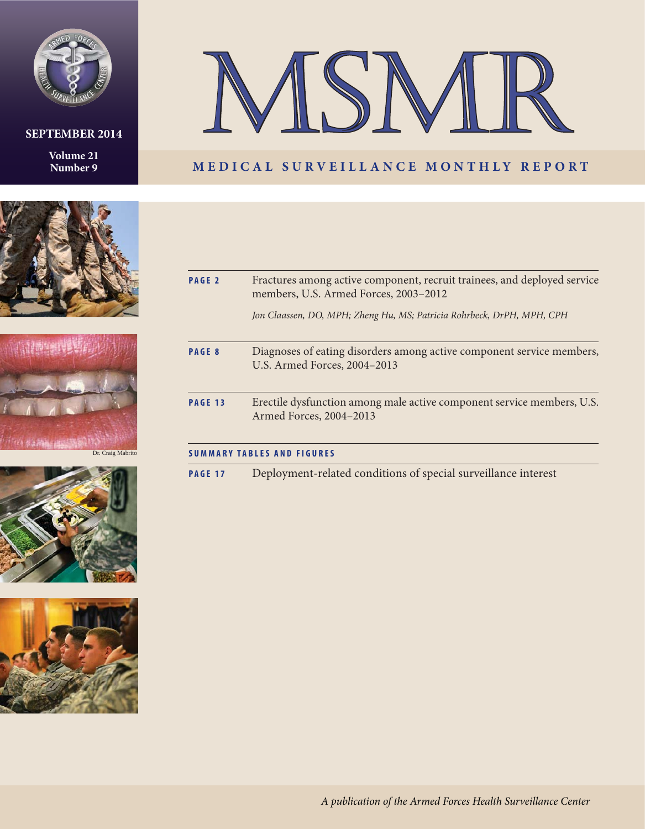

### **SEPTEMBER 2014**

**Volume 21 Number 9**



### **MEDICAL SURVEILLANCE MONTHLY REPORT**









| PAGE <sub>2</sub> | Fractures among active component, recruit trainees, and deployed service<br>members, U.S. Armed Forces, 2003-2012 |
|-------------------|-------------------------------------------------------------------------------------------------------------------|
|                   | Jon Claassen, DO, MPH; Zheng Hu, MS; Patricia Rohrbeck, DrPH, MPH, CPH                                            |
| PAGE 8            | Diagnoses of eating disorders among active component service members,<br>U.S. Armed Forces, 2004-2013             |
| PAGE 13           | Erectile dysfunction among male active component service members, U.S.<br>Armed Forces, 2004-2013                 |
|                   | <b>SUMMARY TABLES AND FIGURES</b>                                                                                 |
| <b>PAGE 17</b>    | Deployment-related conditions of special surveillance interest                                                    |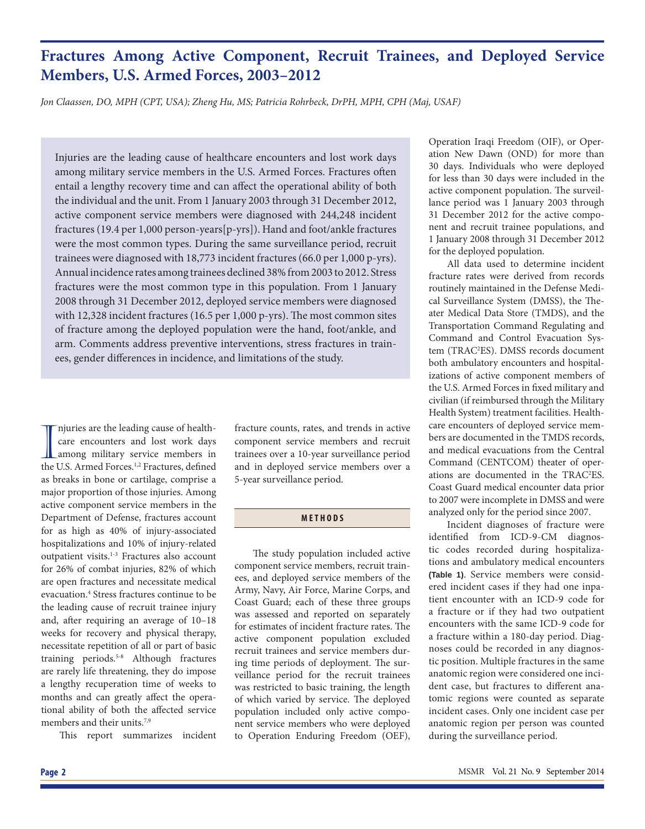### **Fractures Among Active Component, Recruit Trainees, and Deployed Service Members, U.S. Armed Forces, 2003–2012**

*Jon Claassen, DO, MPH (CPT, USA); Zheng Hu, MS; Patricia Rohrbeck, DrPH, MPH, CPH (Maj, USAF)*

Injuries are the leading cause of healthcare encounters and lost work days among military service members in the U.S. Armed Forces. Fractures often entail a lengthy recovery time and can affect the operational ability of both the individual and the unit. From 1 January 2003 through 31 December 2012, active component service members were diagnosed with 244,248 incident fractures (19.4 per 1,000 person-years[p-yrs]). Hand and foot/ankle fractures were the most common types. During the same surveillance period, recruit trainees were diagnosed with 18,773 incident fractures (66.0 per 1,000 p-yrs). Annual incidence rates among trainees declined 38% from 2003 to 2012. Stress fractures were the most common type in this population. From 1 January 2008 through 31 December 2012, deployed service members were diagnosed with 12,328 incident fractures (16.5 per 1,000 p-yrs). The most common sites of fracture among the deployed population were the hand, foot/ankle, and arm. Comments address preventive interventions, stress fractures in trainees, gender differences in incidence, and limitations of the study.

The uries are the leading cause of health-<br>care encounters and lost work days<br>among military service members in<br>the U.S. Armed Forces.<sup>1,2</sup> Fractures, defined njuries are the leading cause of healthcare encounters and lost work days among military service members in as breaks in bone or cartilage, comprise a major proportion of those injuries. Among active component service members in the Department of Defense, fractures account for as high as 40% of injury-associated hospitalizations and 10% of injury-related outpatient visits.<sup>1-3</sup> Fractures also account for 26% of combat injuries, 82% of which are open fractures and necessitate medical evacuation.4 Stress fractures continue to be the leading cause of recruit trainee injury and, after requiring an average of 10-18 weeks for recovery and physical therapy, necessitate repetition of all or part of basic training periods.<sup>5-8</sup> Although fractures are rarely life threatening, they do impose a lengthy recuperation time of weeks to months and can greatly affect the operational ability of both the affected service members and their units.<sup>7,9</sup>

This report summarizes incident

fracture counts, rates, and trends in active component service members and recruit trainees over a 10-year surveillance period and in deployed service members over a 5-year surveillance period.

### **METHODS**

The study population included active component service members, recruit trainees, and deployed service members of the Army, Navy, Air Force, Marine Corps, and Coast Guard; each of these three groups was assessed and reported on separately for estimates of incident fracture rates. The active component population excluded recruit trainees and service members during time periods of deployment. The surveillance period for the recruit trainees was restricted to basic training, the length of which varied by service. The deployed population included only active component service members who were deployed to Operation Enduring Freedom (OEF), Operation Iraqi Freedom (OIF), or Operation New Dawn (OND) for more than 30 days. Individuals who were deployed for less than 30 days were included in the active component population. The surveillance period was 1 January 2003 through 31 December 2012 for the active component and recruit trainee populations, and 1 January 2008 through 31 December 2012 for the deployed population.

All data used to determine incident fracture rates were derived from records routinely maintained in the Defense Medical Surveillance System (DMSS), the Theater Medical Data Store (TMDS), and the Transportation Command Regulating and Command and Control Evacuation System (TRAC2 ES). DMSS records document both ambulatory encounters and hospitalizations of active component members of the U.S. Armed Forces in fixed military and civilian (if reimbursed through the Military Health System) treatment facilities. Healthcare encounters of deployed service members are documented in the TMDS records, and medical evacuations from the Central Command (CENTCOM) theater of operations are documented in the TRAC2 ES. Coast Guard medical encounter data prior to 2007 were incomplete in DMSS and were analyzed only for the period since 2007.

Incident diagnoses of fracture were identified from ICD-9-CM diagnostic codes recorded during hospitalizations and ambulatory medical encounters **(Table 1)**. Service members were considered incident cases if they had one inpatient encounter with an ICD-9 code for a fracture or if they had two outpatient encounters with the same ICD-9 code for a fracture within a 180-day period. Diagnoses could be recorded in any diagnostic position. Multiple fractures in the same anatomic region were considered one incident case, but fractures to different anatomic regions were counted as separate incident cases. Only one incident case per anatomic region per person was counted during the surveillance period.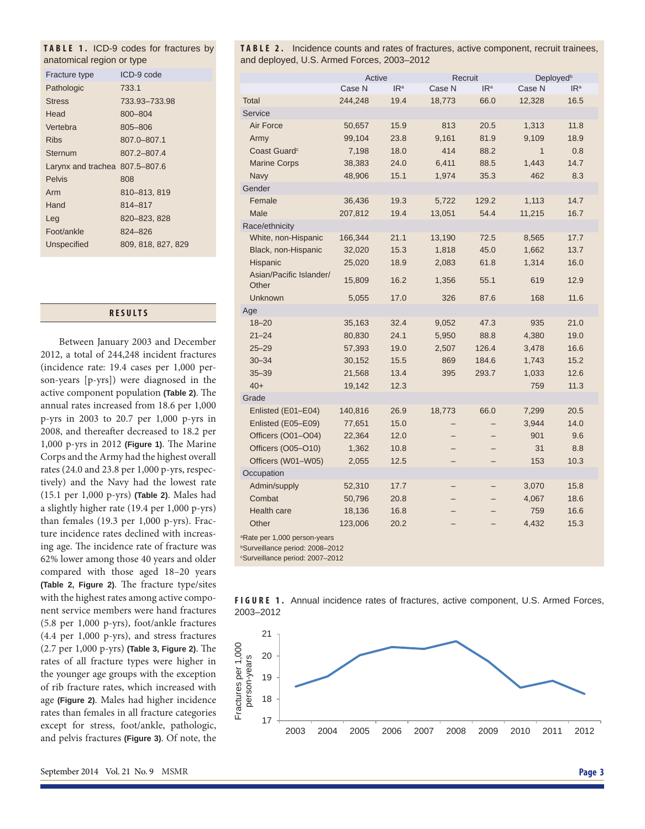| anatomical region or type      | TABLE 1. ICD-9 codes for fractures by |
|--------------------------------|---------------------------------------|
|                                |                                       |
| Fracture type                  | ICD-9 code                            |
| Pathologic                     | 733.1                                 |
| <b>Stress</b>                  | 733.93-733.98                         |
| Head                           | 800-804                               |
| Vertebra                       | 805-806                               |
| <b>Ribs</b>                    | 807.0-807.1                           |
| Sternum                        | 807.2-807.4                           |
| Larynx and trachea 807.5-807.6 |                                       |
| <b>Pelvis</b>                  | 808                                   |
| Arm                            | 810-813, 819                          |
| Hand                           | 814-817                               |
| Leg                            | 820-823, 828                          |
| Foot/ankle                     | 824-826                               |
| <b>Unspecified</b>             | 809, 818, 827, 829                    |

#### **RESULTS**

Between January 2003 and December 2012, a total of 244,248 incident fractures (incidence rate: 19.4 cases per 1,000 person-years [p-yrs]) were diagnosed in the active component population (Table 2). The annual rates increased from 18.6 per 1,000 p-yrs in 2003 to 20.7 per 1,000 p-yrs in 2008, and thereafter decreased to 18.2 per 1,000 p-yrs in 2012 (Figure 1). The Marine Corps and the Army had the highest overall rates (24.0 and 23.8 per 1,000 p-yrs, respectively) and the Navy had the lowest rate (15.1 per 1,000 p-yrs) **(Table 2)**. Males had a slightly higher rate (19.4 per 1,000 p-yrs) than females (19.3 per 1,000 p-yrs). Fracture incidence rates declined with increasing age. The incidence rate of fracture was 62% lower among those 40 years and older compared with those aged 18–20 years **(Table 2, Figure 2)**. The fracture type/sites with the highest rates among active component service members were hand fractures (5.8 per 1,000 p-yrs), foot/ankle fractures (4.4 per 1,000 p-yrs), and stress fractures (2.7 per 1,000 p-yrs) (Table 3, Figure 2). The rates of all fracture types were higher in the younger age groups with the exception of rib fracture rates, which increased with age **(Figure 2)**. Males had higher incidence rates than females in all fracture categories except for stress, foot/ankle, pathologic, and pelvis fractures **(Figure 3)**. Of note, the

**TABLE 2.** Incidence counts and rates of fractures, active component, recruit trainees, and deployed, U.S. Armed Forces, 2003–2012

|                               | Active  |                 | Recruit |                 | Deployed <sup>b</sup> |                 |
|-------------------------------|---------|-----------------|---------|-----------------|-----------------------|-----------------|
|                               | Case N  | IR <sup>a</sup> | Case N  | IR <sup>a</sup> | Case N                | IR <sup>a</sup> |
| <b>Total</b>                  | 244,248 | 19.4            | 18,773  | 66.0            | 12,328                | 16.5            |
| Service                       |         |                 |         |                 |                       |                 |
| Air Force                     | 50,657  | 15.9            | 813     | 20.5            | 1,313                 | 11.8            |
| Army                          | 99,104  | 23.8            | 9,161   | 81.9            | 9,109                 | 18.9            |
| Coast Guard <sup>c</sup>      | 7,198   | 18.0            | 414     | 88.2            | $\mathbf{1}$          | 0.8             |
| <b>Marine Corps</b>           | 38,383  | 24.0            | 6,411   | 88.5            | 1,443                 | 14.7            |
| Navy                          | 48,906  | 15.1            | 1,974   | 35.3            | 462                   | 8.3             |
| Gender                        |         |                 |         |                 |                       |                 |
| Female                        | 36,436  | 19.3            | 5,722   | 129.2           | 1,113                 | 14.7            |
| Male                          | 207,812 | 19.4            | 13,051  | 54.4            | 11,215                | 16.7            |
| Race/ethnicity                |         |                 |         |                 |                       |                 |
| White, non-Hispanic           | 166,344 | 21.1            | 13,190  | 72.5            | 8,565                 | 17.7            |
| Black, non-Hispanic           | 32,020  | 15.3            | 1,818   | 45.0            | 1,662                 | 13.7            |
| Hispanic                      | 25,020  | 18.9            | 2,083   | 61.8            | 1,314                 | 16.0            |
| Asian/Pacific Islander/       | 15,809  | 16.2            | 1,356   | 55.1            | 619                   | 12.9            |
| Other                         |         |                 |         |                 |                       |                 |
| Unknown                       | 5,055   | 17.0            | 326     | 87.6            | 168                   | 11.6            |
| Age                           |         |                 |         |                 |                       |                 |
| $18 - 20$                     | 35,163  | 32.4            | 9,052   | 47.3            | 935                   | 21.0            |
| $21 - 24$                     | 80,830  | 24.1            | 5,950   | 88.8            | 4,380                 | 19.0            |
| $25 - 29$                     | 57,393  | 19.0            | 2,507   | 126.4           | 3,478                 | 16.6            |
| $30 - 34$                     | 30,152  | 15.5            | 869     | 184.6           | 1,743                 | 15.2            |
| $35 - 39$                     | 21,568  | 13.4            | 395     | 293.7           | 1,033                 | 12.6            |
| $40+$                         | 19,142  | 12.3            |         |                 | 759                   | 11.3            |
| Grade                         |         |                 |         |                 |                       |                 |
| Enlisted (E01-E04)            | 140,816 | 26.9            | 18,773  | 66.0            | 7,299                 | 20.5            |
| Enlisted (E05-E09)            | 77,651  | 15.0            |         |                 | 3,944                 | 14.0            |
| Officers (O01-O04)            | 22,364  | 12.0            |         |                 | 901                   | 9.6             |
| Officers (O05-O10)            | 1,362   | 10.8            |         |                 | 31                    | 8.8             |
| Officers (W01-W05)            | 2,055   | 12.5            |         |                 | 153                   | 10.3            |
| Occupation                    |         |                 |         |                 |                       |                 |
| Admin/supply                  | 52,310  | 17.7            |         |                 | 3,070                 | 15.8            |
| Combat                        | 50,796  | 20.8            |         |                 | 4,067                 | 18.6            |
| Health care                   | 18,136  | 16.8            |         |                 | 759                   | 16.6            |
| Other                         | 123,006 | 20.2            |         |                 | 4,432                 | 15.3            |
| a Data por 1.000 porcon voors |         |                 |         |                 |                       |                 |

e per 1,000 per

b Surveillance period: 2008–2012

c Surveillance period: 2007–2012



**FIGURE 1.** Annual incidence rates of fractures, active component, U.S. Armed Forces, 2003–2012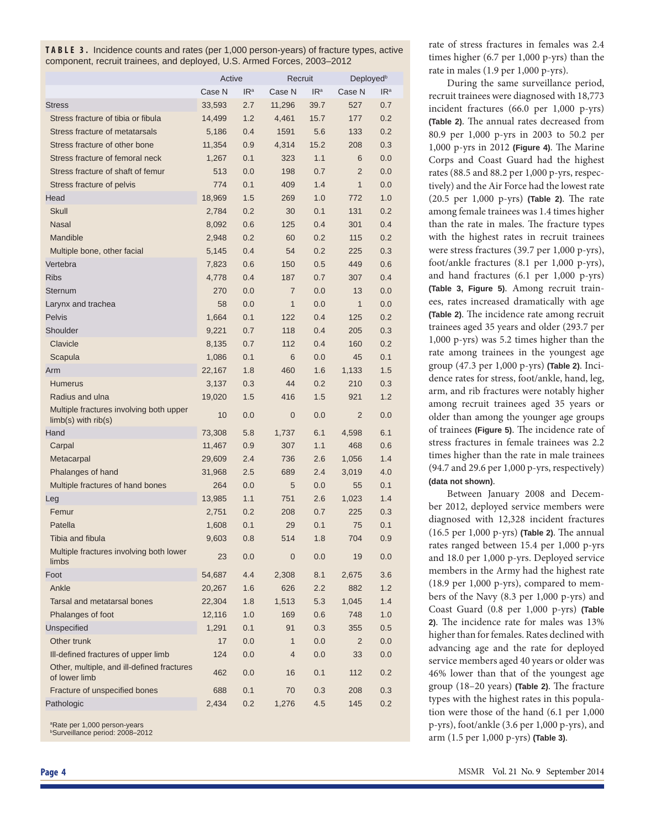**TABLE 3.** Incidence counts and rates (per 1,000 person-years) of fracture types, active component, recruit trainees, and deployed, U.S. Armed Forces, 2003–2012

|                                                                    | Active |                 |                | Recruit         |                | Deployed <sup>b</sup> |
|--------------------------------------------------------------------|--------|-----------------|----------------|-----------------|----------------|-----------------------|
|                                                                    | Case N | IR <sup>a</sup> | Case N         | IR <sup>a</sup> | Case N         | IR <sup>a</sup>       |
| <b>Stress</b>                                                      | 33,593 | 2.7             | 11,296         | 39.7            | 527            | 0.7                   |
| Stress fracture of tibia or fibula                                 | 14,499 | 1.2             | 4,461          | 15.7            | 177            | 0.2                   |
| Stress fracture of metatarsals                                     | 5,186  | 0.4             | 1591           | 5.6             | 133            | 0.2                   |
| Stress fracture of other bone                                      | 11,354 | 0.9             | 4,314          | 15.2            | 208            | 0.3                   |
| Stress fracture of femoral neck                                    | 1,267  | 0.1             | 323            | 1.1             | 6              | 0.0                   |
| Stress fracture of shaft of femur                                  | 513    | 0.0             | 198            | 0.7             | $\overline{2}$ | 0.0                   |
| Stress fracture of pelvis                                          | 774    | 0.1             | 409            | 1.4             | $\mathbf{1}$   | 0.0                   |
| Head                                                               | 18,969 | 1.5             | 269            | 1.0             | 772            | 1.0                   |
| Skull                                                              | 2,784  | 0.2             | 30             | 0.1             | 131            | 0.2                   |
| <b>Nasal</b>                                                       | 8,092  | 0.6             | 125            | 0.4             | 301            | 0.4                   |
| Mandible                                                           | 2,948  | 0.2             | 60             | 0.2             | 115            | 0.2                   |
| Multiple bone, other facial                                        | 5,145  | 0.4             | 54             | 0.2             | 225            | 0.3                   |
| Vertebra                                                           | 7,823  | 0.6             | 150            | 0.5             | 449            | 0.6                   |
| <b>Ribs</b>                                                        | 4,778  | 0.4             | 187            | 0.7             | 307            | 0.4                   |
| Sternum                                                            | 270    | 0.0             | $\overline{7}$ | 0.0             | 13             | 0.0                   |
| Larynx and trachea                                                 | 58     | 0.0             | $\mathbf{1}$   | 0.0             | $\mathbf{1}$   | 0.0                   |
| Pelvis                                                             | 1,664  | 0.1             | 122            | 0.4             | 125            | 0.2                   |
| Shoulder                                                           | 9,221  | 0.7             | 118            | 0.4             | 205            | 0.3                   |
| Clavicle                                                           | 8,135  | 0.7             | 112            | 0.4             | 160            | 0.2                   |
| Scapula                                                            | 1,086  | 0.1             | 6              | 0.0             | 45             | 0.1                   |
| Arm                                                                | 22,167 | 1.8             | 460            | 1.6             | 1,133          | 1.5                   |
| <b>Humerus</b>                                                     | 3,137  | 0.3             | 44             | 0.2             | 210            | 0.3                   |
| Radius and ulna                                                    | 19,020 | 1.5             | 416            | 1.5             | 921            | 1.2                   |
| Multiple fractures involving both upper<br>$limb(s)$ with $rib(s)$ | 10     | 0.0             | 0              | 0.0             | $\overline{2}$ | 0.0                   |
| Hand                                                               | 73,308 | 5.8             | 1,737          | 6.1             | 4,598          | 6.1                   |
| Carpal                                                             | 11,467 | 0.9             | 307            | 1.1             | 468            | 0.6                   |
| Metacarpal                                                         | 29,609 | 2.4             | 736            | 2.6             | 1,056          | 1.4                   |
| Phalanges of hand                                                  | 31,968 | 2.5             | 689            | 2.4             | 3,019          | 4.0                   |
| Multiple fractures of hand bones                                   | 264    | 0.0             | 5              | 0.0             | 55             | 0.1                   |
| Leg                                                                | 13,985 | 1.1             | 751            | 2.6             | 1,023          | 1.4                   |
| Femur                                                              | 2,751  | 0.2             | 208            | 0.7             | 225            | 0.3                   |
| Patella                                                            | 1,608  | 0.1             | 29             | 0.1             | 75             | 0.1                   |
| Tibia and fibula                                                   | 9,603  | 0.8             | 514            | 1.8             | 704            | 0.9                   |
| Multiple fractures involving both lower<br>limbs                   | 23     | 0.0             | 0              | 0.0             | 19             | 0.0                   |
| Foot                                                               | 54,687 | 4.4             | 2,308          | 8.1             | 2,675          | 3.6                   |
| Ankle                                                              | 20,267 | 1.6             | 626            | 2.2             | 882            | 1.2                   |
| Tarsal and metatarsal bones                                        | 22,304 | 1.8             | 1,513          | 5.3             | 1,045          | 1.4                   |
| Phalanges of foot                                                  | 12,116 | 1.0             | 169            | 0.6             | 748            | 1.0                   |
| <b>Unspecified</b>                                                 | 1,291  | 0.1             | 91             | 0.3             | 355            | 0.5                   |
| Other trunk                                                        | 17     | 0.0             | 1              | 0.0             | $\overline{2}$ | 0.0                   |
| III-defined fractures of upper limb                                | 124    | 0.0             | 4              | 0.0             | 33             | 0.0                   |
| Other, multiple, and ill-defined fractures<br>of lower limb        | 462    | 0.0             | 16             | 0.1             | 112            | 0.2                   |
| Fracture of unspecified bones                                      | 688    | 0.1             | 70             | 0.3             | 208            | 0.3                   |
| Pathologic                                                         | 2,434  | 0.2             | 1,276          | 4.5             | 145            | 0.2                   |

a Rate per 1,000 person-years b Surveillance period: 2008–2012

rate of stress fractures in females was 2.4 times higher (6.7 per 1,000 p-yrs) than the rate in males (1.9 per 1,000 p-yrs).

During the same surveillance period, recruit trainees were diagnosed with 18,773 incident fractures (66.0 per 1,000 p-yrs) **(Table 2)**. The annual rates decreased from 80.9 per 1,000 p-yrs in 2003 to 50.2 per 1,000 p-yrs in 2012 (Figure 4). The Marine Corps and Coast Guard had the highest rates (88.5 and 88.2 per 1,000 p-yrs, respectively) and the Air Force had the lowest rate (20.5 per 1,000 p-yrs) (Table 2). The rate among female trainees was 1.4 times higher than the rate in males. The fracture types with the highest rates in recruit trainees were stress fractures (39.7 per 1,000 p-yrs), foot/ankle fractures (8.1 per 1,000 p-yrs), and hand fractures (6.1 per 1,000 p-yrs) **(Table 3, Figure 5)**. Among recruit trainees, rates increased dramatically with age **(Table 2)**. The incidence rate among recruit trainees aged 35 years and older (293.7 per 1,000 p-yrs) was 5.2 times higher than the rate among trainees in the youngest age group (47.3 per 1,000 p-yrs) **(Table 2)**. Incidence rates for stress, foot/ankle, hand, leg, arm, and rib fractures were notably higher among recruit trainees aged 35 years or older than among the younger age groups of trainees (Figure 5). The incidence rate of stress fractures in female trainees was 2.2 times higher than the rate in male trainees (94.7 and 29.6 per 1,000 p-yrs, respectively) **(data not shown)**.

Between January 2008 and December 2012, deployed service members were diagnosed with 12,328 incident fractures (16.5 per 1,000 p-yrs) (Table 2). The annual rates ranged between 15.4 per 1,000 p-yrs and 18.0 per 1,000 p-yrs. Deployed service members in the Army had the highest rate (18.9 per 1,000 p-yrs), compared to members of the Navy (8.3 per 1,000 p-yrs) and Coast Guard (0.8 per 1,000 p-yrs) **(Table**  2). The incidence rate for males was 13% higher than for females. Rates declined with advancing age and the rate for deployed service members aged 40 years or older was 46% lower than that of the youngest age group (18-20 years) (Table 2). The fracture types with the highest rates in this population were those of the hand (6.1 per 1,000 p-yrs), foot/ankle (3.6 per 1,000 p-yrs), and arm (1.5 per 1,000 p-yrs) **(Table 3)**.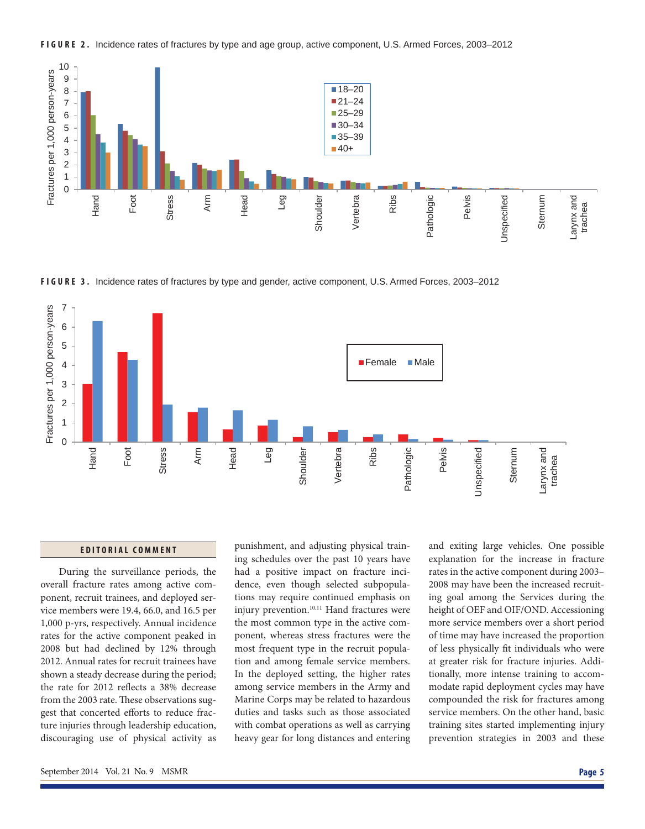







#### **EDITORIAL COMMENT**

During the surveillance periods, the overall fracture rates among active component, recruit trainees, and deployed service members were 19.4, 66.0, and 16.5 per 1,000 p-yrs, respectively. Annual incidence rates for the active component peaked in 2008 but had declined by 12% through 2012. Annual rates for recruit trainees have shown a steady decrease during the period; the rate for 2012 reflects a 38% decrease from the 2003 rate. These observations suggest that concerted efforts to reduce fracture injuries through leadership education, discouraging use of physical activity as punishment, and adjusting physical training schedules over the past 10 years have had a positive impact on fracture incidence, even though selected subpopulations may require continued emphasis on injury prevention.<sup>10,11</sup> Hand fractures were the most common type in the active component, whereas stress fractures were the most frequent type in the recruit population and among female service members. In the deployed setting, the higher rates among service members in the Army and Marine Corps may be related to hazardous duties and tasks such as those associated with combat operations as well as carrying heavy gear for long distances and entering

and exiting large vehicles. One possible explanation for the increase in fracture rates in the active component during 2003– 2008 may have been the increased recruiting goal among the Services during the height of OEF and OIF/OND. Accessioning more service members over a short period of time may have increased the proportion of less physically fit individuals who were at greater risk for fracture injuries. Additionally, more intense training to accommodate rapid deployment cycles may have compounded the risk for fractures among service members. On the other hand, basic training sites started implementing injury prevention strategies in 2003 and these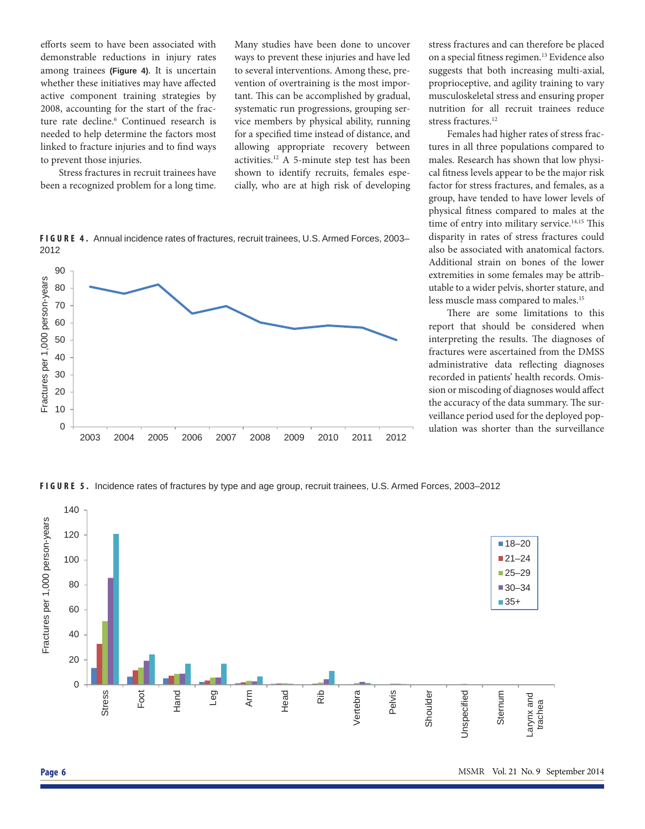efforts seem to have been associated with demonstrable reductions in injury rates among trainees **(Figure 4)**. It is uncertain whether these initiatives may have affected active component training strategies by 2008, accounting for the start of the fracture rate decline.<sup>6</sup> Continued research is needed to help determine the factors most linked to fracture injuries and to find ways to prevent those injuries.

Stress fractures in recruit trainees have been a recognized problem for a long time.

Many studies have been done to uncover ways to prevent these injuries and have led to several interventions. Among these, prevention of overtraining is the most important. This can be accomplished by gradual, systematic run progressions, grouping service members by physical ability, running for a specified time instead of distance, and allowing appropriate recovery between activities.12 A 5-minute step test has been shown to identify recruits, females especially, who are at high risk of developing

**FIGURE 4.** Annual incidence rates of fractures, recruit trainees, U.S. Armed Forces, 2003– 2012



stress fractures and can therefore be placed on a special fitness regimen.<sup>13</sup> Evidence also suggests that both increasing multi-axial, proprioceptive, and agility training to vary musculoskeletal stress and ensuring proper nutrition for all recruit trainees reduce stress fractures.<sup>12</sup>

Females had higher rates of stress fractures in all three populations compared to males. Research has shown that low physical fitness levels appear to be the major risk factor for stress fractures, and females, as a group, have tended to have lower levels of physical fitness compared to males at the time of entry into military service.<sup>14,15</sup> This disparity in rates of stress fractures could also be associated with anatomical factors. Additional strain on bones of the lower extremities in some females may be attributable to a wider pelvis, shorter stature, and less muscle mass compared to males.15

There are some limitations to this report that should be considered when interpreting the results. The diagnoses of fractures were ascertained from the DMSS administrative data reflecting diagnoses recorded in patients' health records. Omission or miscoding of diagnoses would affect the accuracy of the data summary. The surveillance period used for the deployed population was shorter than the surveillance

**FIGURE 5.** Incidence rates of fractures by type and age group, recruit trainees, U.S. Armed Forces, 2003–2012

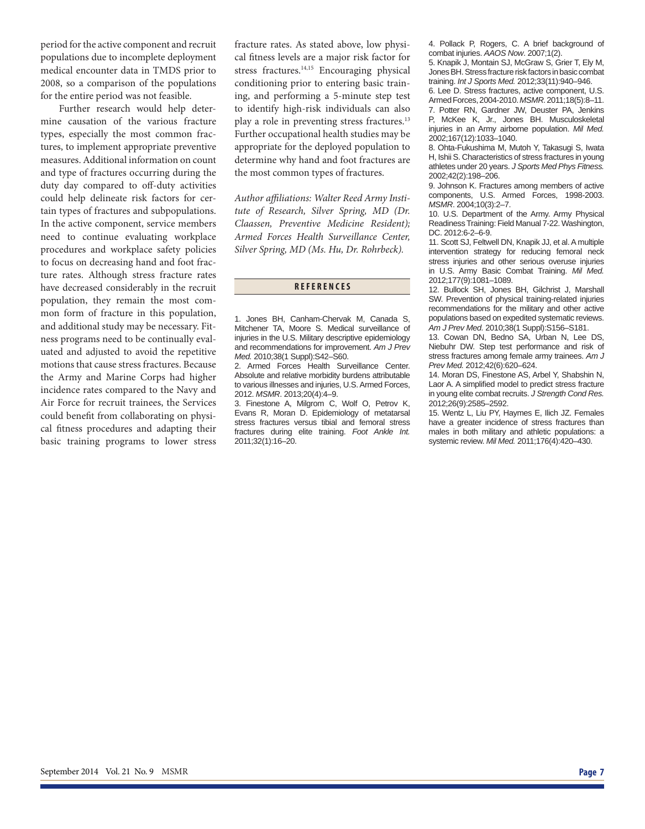period for the active component and recruit populations due to incomplete deployment medical encounter data in TMDS prior to 2008, so a comparison of the populations for the entire period was not feasible.

Further research would help determine causation of the various fracture types, especially the most common fractures, to implement appropriate preventive measures. Additional information on count and type of fractures occurring during the duty day compared to off-duty activities could help delineate risk factors for certain types of fractures and subpopulations. In the active component, service members need to continue evaluating workplace procedures and workplace safety policies to focus on decreasing hand and foot fracture rates. Although stress fracture rates have decreased considerably in the recruit population, they remain the most common form of fracture in this population, and additional study may be necessary. Fitness programs need to be continually evaluated and adjusted to avoid the repetitive motions that cause stress fractures. Because the Army and Marine Corps had higher incidence rates compared to the Navy and Air Force for recruit trainees, the Services could benefit from collaborating on physical fitness procedures and adapting their basic training programs to lower stress

fracture rates. As stated above, low physical fitness levels are a major risk factor for stress fractures.<sup>14,15</sup> Encouraging physical conditioning prior to entering basic training, and performing a 5-minute step test to identify high-risk individuals can also play a role in preventing stress fractures.13 Further occupational health studies may be appropriate for the deployed population to determine why hand and foot fractures are the most common types of fractures.

Author affiliations: Walter Reed Army Insti*tute of Research, Silver Spring, MD (Dr. Claassen, Preventive Medicine Resident); Armed Forces Health Surveillance Center, Silver Spring, MD (Ms. Hu, Dr. Rohrbeck).*

#### **REFERENCES**

1. Jones BH, Canham-Chervak M, Canada S, Mitchener TA, Moore S. Medical surveillance of injuries in the U.S. Military descriptive epidemiology and recommendations for improvement. *Am J Prev Med.* 2010;38(1 Suppl):S42–S60.

2. Armed Forces Health Surveillance Center. Absolute and relative morbidity burdens attributable to various illnesses and injuries, U.S. Armed Forces, 2012. *MSMR*. 2013;20(4):4–9.

3. Finestone A, Milgrom C, Wolf O, Petrov K, Evans R, Moran D. Epidemiology of metatarsal stress fractures versus tibial and femoral stress fractures during elite training. *Foot Ankle Int.* 2011;32(1):16–20.

4. Pollack P, Rogers, C. A brief background of combat injuries. *AAOS Now*. 2007;1(2).

5. Knapik J, Montain SJ, McGraw S, Grier T, Ely M, Jones BH. Stress fracture risk factors in basic combat training. *Int J Sports Med.* 2012;33(11):940–946.

6. Lee D. Stress fractures, active component, U.S. Armed Forces, 2004-2010. *MSMR.* 2011;18(5):8–11. 7. Potter RN, Gardner JW, Deuster PA, Jenkins P, McKee K, Jr., Jones BH. Musculoskeletal injuries in an Army airborne population. *Mil Med.* 2002;167(12):1033–1040.

8. Ohta-Fukushima M, Mutoh Y, Takasugi S, Iwata H, Ishii S. Characteristics of stress fractures in young athletes under 20 years. *J Sports Med Phys Fitness.* 2002;42(2):198–206.

9. Johnson K. Fractures among members of active components, U.S. Armed Forces, 1998-2003. *MSMR*. 2004;10(3):2*–*7.

10. U.S. Department of the Army. Army Physical Readiness Training: Field Manual 7-22. Washington, DC. 2012:6-2–6-9.

11. Scott SJ, Feltwell DN, Knapik JJ, et al. A multiple intervention strategy for reducing femoral neck stress injuries and other serious overuse injuries in U.S. Army Basic Combat Training. *Mil Med.*  2012;177(9):1081–1089.

12. Bullock SH, Jones BH, Gilchrist J, Marshall SW. Prevention of physical training-related injuries recommendations for the military and other active populations based on expedited systematic reviews. *Am J Prev Med.* 2010;38(1 Suppl):S156–S181.

13. Cowan DN, Bedno SA, Urban N, Lee DS, Niebuhr DW. Step test performance and risk of stress fractures among female army trainees. *Am J Prev Med.* 2012;42(6):620–624.

14. Moran DS, Finestone AS, Arbel Y, Shabshin N, Laor A. A simplified model to predict stress fracture in young elite combat recruits. *J Strength Cond Res.* 2012;26(9):2585–2592.

15. Wentz L, Liu PY, Haymes E, Ilich JZ. Females have a greater incidence of stress fractures than males in both military and athletic populations: a systemic review. *Mil Med.* 2011;176(4):420–430.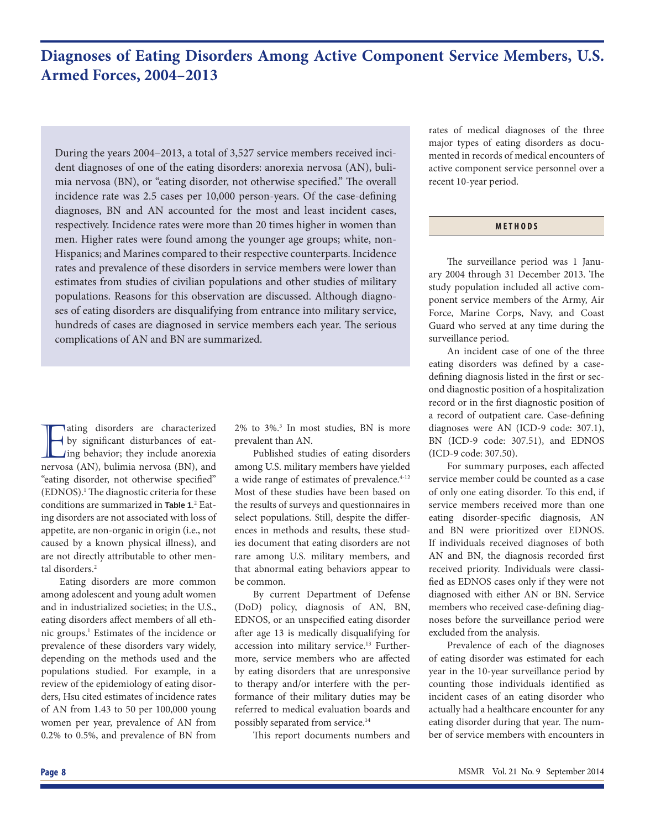### **Diagnoses of Eating Disorders Among Active Component Service Members, U.S. Armed Forces, 2004–2013**

During the years 2004–2013, a total of 3,527 service members received incident diagnoses of one of the eating disorders: anorexia nervosa (AN), bulimia nervosa (BN), or "eating disorder, not otherwise specified." The overall incidence rate was 2.5 cases per 10,000 person-years. Of the case-defining diagnoses, BN and AN accounted for the most and least incident cases, respectively. Incidence rates were more than 20 times higher in women than men. Higher rates were found among the younger age groups; white, non-Hispanics; and Marines compared to their respective counterparts. Incidence rates and prevalence of these disorders in service members were lower than estimates from studies of civilian populations and other studies of military populations. Reasons for this observation are discussed. Although diagnoses of eating disorders are disqualifying from entrance into military service, hundreds of cases are diagnosed in service members each year. The serious complications of AN and BN are summarized.

aling disorders are characterized<br>by significant disturbances of eat-<br>ing behavior; they include anorexia<br>nervosa (AN), bulimia nervosa (BN), and ating disorders are characterized by significant disturbances of eat-Ing behavior; they include anorexia "eating disorder, not otherwise specified" (EDNOS).<sup>1</sup> The diagnostic criteria for these conditions are summarized in **Table 1**. 2 Eating disorders are not associated with loss of appetite, are non-organic in origin (i.e., not caused by a known physical illness), and are not directly attributable to other mental disorders.<sup>2</sup>

Eating disorders are more common among adolescent and young adult women and in industrialized societies; in the U.S., eating disorders affect members of all ethnic groups.1 Estimates of the incidence or prevalence of these disorders vary widely, depending on the methods used and the populations studied. For example, in a review of the epidemiology of eating disorders, Hsu cited estimates of incidence rates of AN from 1.43 to 50 per 100,000 young women per year, prevalence of AN from 0.2% to 0.5%, and prevalence of BN from

2% to 3%.3 In most studies, BN is more prevalent than AN.

Published studies of eating disorders among U.S. military members have yielded a wide range of estimates of prevalence.<sup>4-12</sup> Most of these studies have been based on the results of surveys and questionnaires in select populations. Still, despite the differences in methods and results, these studies document that eating disorders are not rare among U.S. military members, and that abnormal eating behaviors appear to be common.

By current Department of Defense (DoD) policy, diagnosis of AN, BN, EDNOS, or an unspecified eating disorder after age 13 is medically disqualifying for accession into military service.<sup>13</sup> Furthermore, service members who are affected by eating disorders that are unresponsive to therapy and/or interfere with the performance of their military duties may be referred to medical evaluation boards and possibly separated from service.14

This report documents numbers and

rates of medical diagnoses of the three major types of eating disorders as documented in records of medical encounters of active component service personnel over a recent 10-year period.

### **METHODS**

The surveillance period was 1 January 2004 through 31 December 2013. The study population included all active component service members of the Army, Air Force, Marine Corps, Navy, and Coast Guard who served at any time during the surveillance period.

 An incident case of one of the three eating disorders was defined by a casedefining diagnosis listed in the first or second diagnostic position of a hospitalization record or in the first diagnostic position of a record of outpatient care. Case-defining diagnoses were AN (ICD-9 code: 307.1), BN (ICD-9 code: 307.51), and EDNOS (ICD-9 code: 307.50).

For summary purposes, each affected service member could be counted as a case of only one eating disorder. To this end, if service members received more than one eating disorder-specific diagnosis, AN and BN were prioritized over EDNOS. If individuals received diagnoses of both AN and BN, the diagnosis recorded first received priority. Individuals were classified as EDNOS cases only if they were not diagnosed with either AN or BN. Service members who received case-defining diagnoses before the surveillance period were excluded from the analysis.

Prevalence of each of the diagnoses of eating disorder was estimated for each year in the 10-year surveillance period by counting those individuals identified as incident cases of an eating disorder who actually had a healthcare encounter for any eating disorder during that year. The number of service members with encounters in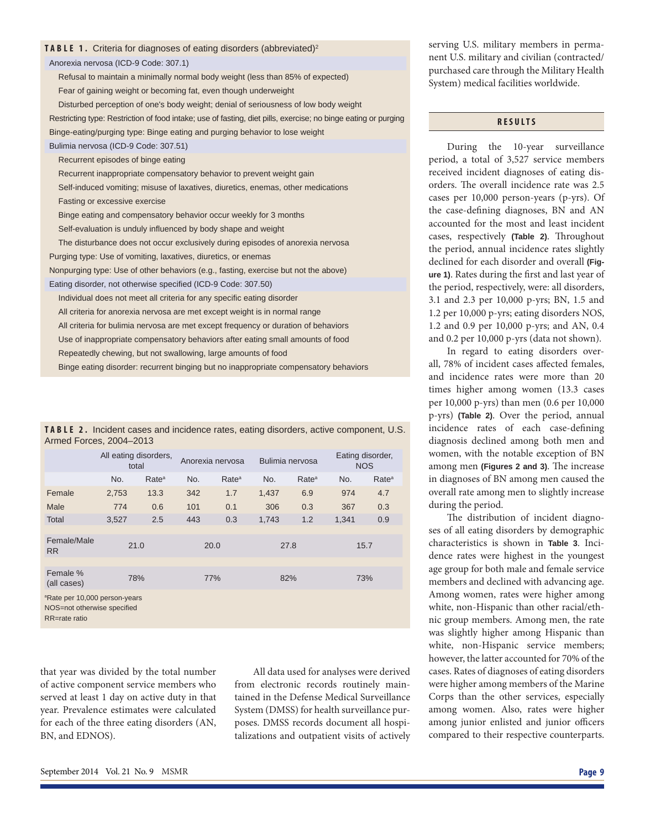|  |  |  |  |  |  | <b>TABLE 1.</b> Criteria for diagnoses of eating disorders (abbreviated) <sup>2</sup> |
|--|--|--|--|--|--|---------------------------------------------------------------------------------------|
|--|--|--|--|--|--|---------------------------------------------------------------------------------------|

Anorexia nervosa (ICD-9 Code: 307.1)

Refusal to maintain a minimally normal body weight (less than 85% of expected) Fear of gaining weight or becoming fat, even though underweight Disturbed perception of one's body weight; denial of seriousness of low body weight

Restricting type: Restriction of food intake; use of fasting, diet pills, exercise; no binge eating or purging Binge-eating/purging type: Binge eating and purging behavior to lose weight

### Bulimia nervosa (ICD-9 Code: 307.51)

Recurrent episodes of binge eating

Recurrent inappropriate compensatory behavior to prevent weight gain

Self-induced vomiting; misuse of laxatives, diuretics, enemas, other medications

Fasting or excessive exercise

Binge eating and compensatory behavior occur weekly for 3 months

Self-evaluation is unduly influenced by body shape and weight

The disturbance does not occur exclusively during episodes of anorexia nervosa Purging type: Use of vomiting, laxatives, diuretics, or enemas

Nonpurging type: Use of other behaviors (e.g., fasting, exercise but not the above) Eating disorder, not otherwise specified (ICD-9 Code: 307.50)

Individual does not meet all criteria for any specific eating disorder

All criteria for anorexia nervosa are met except weight is in normal range

All criteria for bulimia nervosa are met except frequency or duration of behaviors

Use of inappropriate compensatory behaviors after eating small amounts of food

Repeatedly chewing, but not swallowing, large amounts of food

Binge eating disorder: recurrent binging but no inappropriate compensatory behaviors

**TABLE 2.** Incident cases and incidence rates, eating disorders, active component, U.S. Armed Forces, 2004–2013

|                                           |       | All eating disorders,<br>total |     | Anorexia nervosa  |       | Bulimia nervosa   |       | Eating disorder,<br><b>NOS</b> |  |
|-------------------------------------------|-------|--------------------------------|-----|-------------------|-------|-------------------|-------|--------------------------------|--|
|                                           | No.   | Rate <sup>a</sup>              | No. | Rate <sup>a</sup> | No.   | Rate <sup>a</sup> | No.   | Rate <sup>a</sup>              |  |
| Female                                    | 2,753 | 13.3                           | 342 | 1.7               | 1,437 | 6.9               | 974   | 4.7                            |  |
| Male                                      | 774   | 0.6                            | 101 | 0.1               | 306   | 0.3               | 367   | 0.3                            |  |
| Total                                     | 3,527 | 2.5                            | 443 | 0.3               | 1,743 | 1.2               | 1,341 | 0.9                            |  |
|                                           |       |                                |     |                   |       |                   |       |                                |  |
| Female/Male<br><b>RR</b>                  | 21.0  |                                |     | 20.0              | 27.8  |                   | 15.7  |                                |  |
|                                           |       |                                |     |                   |       |                   |       |                                |  |
| Female %<br>(all cases)                   | 78%   |                                | 77% |                   | 82%   |                   | 73%   |                                |  |
| <sup>a</sup> Rate per 10,000 person-years |       |                                |     |                   |       |                   |       |                                |  |

NOS=not otherwise specified

RR=rate ratio

that year was divided by the total number of active component service members who served at least 1 day on active duty in that year. Prevalence estimates were calculated for each of the three eating disorders (AN, BN, and EDNOS).

All data used for analyses were derived from electronic records routinely maintained in the Defense Medical Surveillance System (DMSS) for health surveillance purposes. DMSS records document all hospitalizations and outpatient visits of actively serving U.S. military members in permanent U.S. military and civilian (contracted/ purchased care through the Military Health System) medical facilities worldwide.

### **RESULTS**

During the 10-year surveillance period, a total of 3,527 service members received incident diagnoses of eating disorders. The overall incidence rate was 2.5 cases per 10,000 person-years (p-yrs). Of the case-defining diagnoses, BN and AN accounted for the most and least incident cases, respectively (Table 2). Throughout the period, annual incidence rates slightly declined for each disorder and overall **(Fig**ure 1). Rates during the first and last year of the period, respectively, were: all disorders, 3.1 and 2.3 per 10,000 p-yrs; BN, 1.5 and 1.2 per 10,000 p-yrs; eating disorders NOS, 1.2 and 0.9 per 10,000 p-yrs; and AN, 0.4 and 0.2 per 10,000 p-yrs (data not shown).

In regard to eating disorders overall, 78% of incident cases affected females, and incidence rates were more than 20 times higher among women (13.3 cases per 10,000 p-yrs) than men (0.6 per 10,000 p-yrs) **(Table 2)**. Over the period, annual incidence rates of each case-defining diagnosis declined among both men and women, with the notable exception of BN among men (Figures 2 and 3). The increase in diagnoses of BN among men caused the overall rate among men to slightly increase during the period.

The distribution of incident diagnoses of all eating disorders by demographic characteristics is shown in **Table 3**. Incidence rates were highest in the youngest age group for both male and female service members and declined with advancing age. Among women, rates were higher among white, non-Hispanic than other racial/ethnic group members. Among men, the rate was slightly higher among Hispanic than white, non-Hispanic service members; however, the latter accounted for 70% of the cases. Rates of diagnoses of eating disorders were higher among members of the Marine Corps than the other services, especially among women. Also, rates were higher among junior enlisted and junior officers compared to their respective counterparts.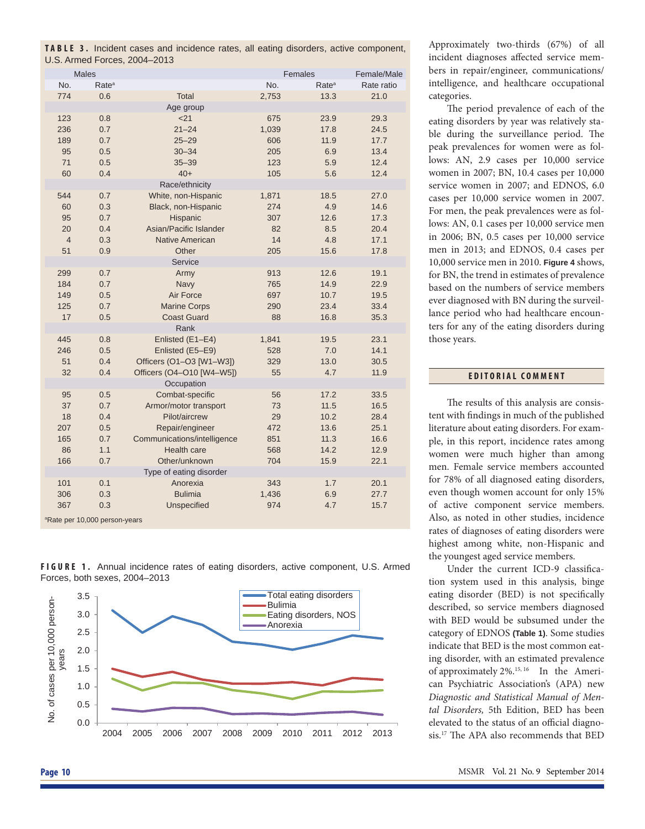|                              |  |  |  |  | <b>TABLE 3.</b> Incident cases and incidence rates, all eating disorders, active component, |
|------------------------------|--|--|--|--|---------------------------------------------------------------------------------------------|
| U.S. Armed Forces, 2004-2013 |  |  |  |  |                                                                                             |

|                | <b>Males</b>                              |                             |       | Females           | Female/Male |
|----------------|-------------------------------------------|-----------------------------|-------|-------------------|-------------|
| No.            | Rate <sup>a</sup>                         |                             | No.   | Rate <sup>a</sup> | Rate ratio  |
| 774            | 0.6                                       | <b>Total</b>                | 2,753 | 13.3              | 21.0        |
|                |                                           | Age group                   |       |                   |             |
| 123            | 0.8                                       | 21                          | 675   | 23.9              | 29.3        |
| 236            | 0.7                                       | $21 - 24$                   | 1,039 | 17.8              | 24.5        |
| 189            | 0.7                                       | $25 - 29$                   | 606   | 11.9              | 17.7        |
| 95             | 0.5                                       | $30 - 34$                   | 205   | 6.9               | 13.4        |
| 71             | 0.5                                       | $35 - 39$                   | 123   | 5.9               | 12.4        |
| 60             | 0.4                                       | $40+$                       | 105   | 5.6               | 12.4        |
|                |                                           | Race/ethnicity              |       |                   |             |
| 544            | 0.7                                       | White, non-Hispanic         | 1,871 | 18.5              | 27.0        |
| 60             | 0.3                                       | Black, non-Hispanic         | 274   | 4.9               | 14.6        |
| 95             | 0.7                                       | Hispanic                    | 307   | 12.6              | 17.3        |
| 20             | 0.4                                       | Asian/Pacific Islander      | 82    | 8.5               | 20.4        |
| $\overline{4}$ | 0.3                                       | <b>Native American</b>      | 14    | 4.8               | 17.1        |
| 51             | 0.9                                       | Other                       | 205   | 15.6              | 17.8        |
|                |                                           | Service                     |       |                   |             |
| 299            | 0.7                                       | Army                        | 913   | 12.6              | 19.1        |
| 184            | 0.7                                       | Navy                        | 765   | 14.9              | 22.9        |
| 149            | 0.5                                       | Air Force                   | 697   | 10.7              | 19.5        |
| 125            | 0.7                                       | <b>Marine Corps</b>         | 290   | 23.4              | 33.4        |
| 17             | 0.5                                       | <b>Coast Guard</b>          | 88    | 16.8              | 35.3        |
|                |                                           | Rank                        |       |                   |             |
| 445            | 0.8                                       | Enlisted (E1-E4)            | 1,841 | 19.5              | 23.1        |
| 246            | 0.5                                       | Enlisted (E5-E9)            | 528   | 7.0               | 14.1        |
| 51             | 0.4                                       | Officers (O1-O3 [W1-W3])    | 329   | 13.0              | 30.5        |
| 32             | 0.4                                       | Officers (O4-O10 [W4-W5])   | 55    | 4.7               | 11.9        |
|                |                                           | Occupation                  |       |                   |             |
| 95             | 0.5                                       | Combat-specific             | 56    | 17.2              | 33.5        |
| 37             | 0.7                                       | Armor/motor transport       | 73    | 11.5              | 16.5        |
| 18             | 0.4                                       | Pilot/aircrew               | 29    | 10.2              | 28.4        |
| 207            | 0.5                                       | Repair/engineer             | 472   | 13.6              | 25.1        |
| 165            | 0.7                                       | Communications/intelligence | 851   | 11.3              | 16.6        |
| 86             | 1.1                                       | Health care                 | 568   | 14.2              | 12.9        |
| 166            | 0.7                                       | Other/unknown               | 704   | 15.9              | 22.1        |
|                |                                           | Type of eating disorder     |       |                   |             |
| 101            | 0.1                                       | Anorexia                    | 343   | 1.7               | 20.1        |
| 306            | 0.3                                       | <b>Bulimia</b>              | 1,436 | 6.9               | 27.7        |
| 367            | 0.3                                       | Unspecified                 | 974   | 4.7               | 15.7        |
|                | <sup>a</sup> Rate per 10,000 person-years |                             |       |                   |             |





Approximately two-thirds (67%) of all incident diagnoses affected service members in repair/engineer, communications/ intelligence, and healthcare occupational categories.

The period prevalence of each of the eating disorders by year was relatively stable during the surveillance period. The peak prevalences for women were as follows: AN, 2.9 cases per 10,000 service women in 2007; BN, 10.4 cases per 10,000 service women in 2007; and EDNOS, 6.0 cases per 10,000 service women in 2007. For men, the peak prevalences were as follows: AN, 0.1 cases per 10,000 service men in 2006; BN, 0.5 cases per 10,000 service men in 2013; and EDNOS, 0.4 cases per 10,000 service men in 2010. **Figure 4** shows, for BN, the trend in estimates of prevalence based on the numbers of service members ever diagnosed with BN during the surveillance period who had healthcare encounters for any of the eating disorders during those years.

### **EDITORIAL COMMENT**

The results of this analysis are consistent with findings in much of the published literature about eating disorders. For example, in this report, incidence rates among women were much higher than among men. Female service members accounted for 78% of all diagnosed eating disorders, even though women account for only 15% of active component service members. Also, as noted in other studies, incidence rates of diagnoses of eating disorders were highest among white, non-Hispanic and the youngest aged service members.

Under the current ICD-9 classification system used in this analysis, binge eating disorder (BED) is not specifically described, so service members diagnosed with BED would be subsumed under the category of EDNOS **(Table 1)**. Some studies indicate that BED is the most common eating disorder, with an estimated prevalence of approximately 2%.15, 16 In the American Psychiatric Association's (APA) new *Diagnostic and Statistical Manual of Mental Disorders,* 5th Edition, BED has been elevated to the status of an official diagnosis.<sup>17</sup> The APA also recommends that BED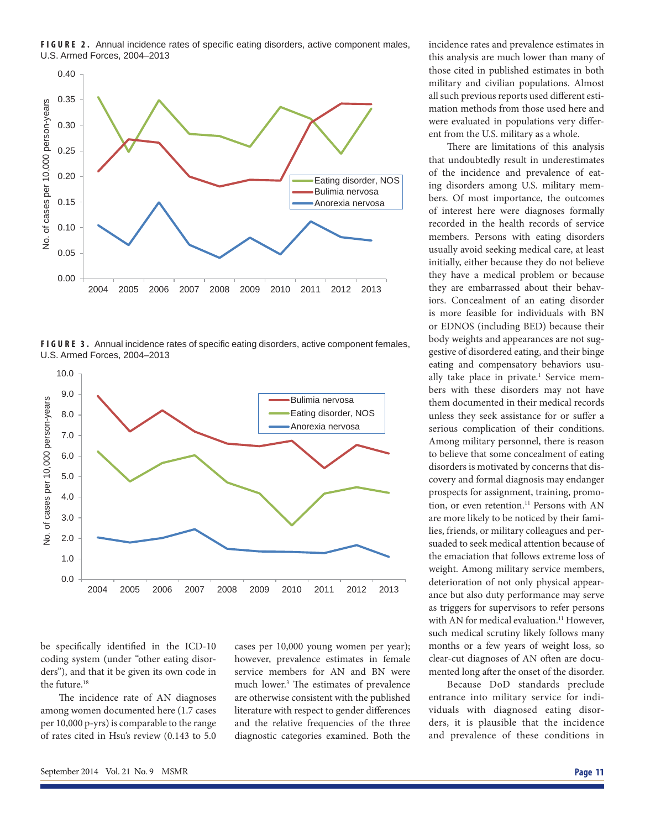**FIGURE 2.** Annual incidence rates of specific eating disorders, active component males, U.S. Armed Forces, 2004–2013



FIGURE 3. Annual incidence rates of specific eating disorders, active component females, U.S. Armed Forces, 2004–2013



be specifically identified in the ICD-10 coding system (under "other eating disorders"), and that it be given its own code in the future.<sup>18</sup>

The incidence rate of AN diagnoses among women documented here (1.7 cases per 10,000 p-yrs) is comparable to the range of rates cited in Hsu's review (0.143 to 5.0 cases per 10,000 young women per year); however, prevalence estimates in female service members for AN and BN were much lower.<sup>3</sup> The estimates of prevalence are otherwise consistent with the published literature with respect to gender differences and the relative frequencies of the three diagnostic categories examined. Both the

incidence rates and prevalence estimates in this analysis are much lower than many of those cited in published estimates in both military and civilian populations. Almost all such previous reports used different estimation methods from those used here and were evaluated in populations very different from the U.S. military as a whole.

There are limitations of this analysis that undoubtedly result in underestimates of the incidence and prevalence of eating disorders among U.S. military members. Of most importance, the outcomes of interest here were diagnoses formally recorded in the health records of service members. Persons with eating disorders usually avoid seeking medical care, at least initially, either because they do not believe they have a medical problem or because they are embarrassed about their behaviors. Concealment of an eating disorder is more feasible for individuals with BN or EDNOS (including BED) because their body weights and appearances are not suggestive of disordered eating, and their binge eating and compensatory behaviors usually take place in private.<sup>1</sup> Service members with these disorders may not have them documented in their medical records unless they seek assistance for or suffer a serious complication of their conditions. Among military personnel, there is reason to believe that some concealment of eating disorders is motivated by concerns that discovery and formal diagnosis may endanger prospects for assignment, training, promotion, or even retention.<sup>11</sup> Persons with AN are more likely to be noticed by their families, friends, or military colleagues and persuaded to seek medical attention because of the emaciation that follows extreme loss of weight. Among military service members, deterioration of not only physical appearance but also duty performance may serve as triggers for supervisors to refer persons with AN for medical evaluation.<sup>11</sup> However, such medical scrutiny likely follows many months or a few years of weight loss, so clear-cut diagnoses of AN often are documented long after the onset of the disorder.

Because DoD standards preclude entrance into military service for individuals with diagnosed eating disorders, it is plausible that the incidence and prevalence of these conditions in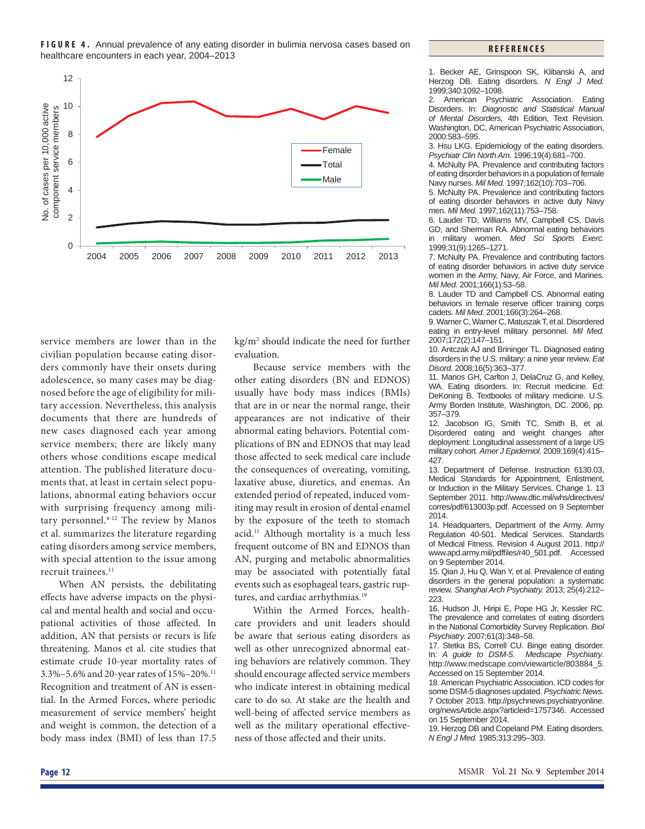**FIGURE 4.** Annual prevalence of any eating disorder in bulimia nervosa cases based on healthcare encounters in each year, 2004–2013



service members are lower than in the civilian population because eating disorders commonly have their onsets during adolescence, so many cases may be diagnosed before the age of eligibility for military accession. Nevertheless, this analysis documents that there are hundreds of new cases diagnosed each year among service members; there are likely many others whose conditions escape medical attention. The published literature documents that, at least in certain select populations, abnormal eating behaviors occur with surprising frequency among military personnel.4-12 The review by Manos et al. summarizes the literature regarding eating disorders among service members, with special attention to the issue among recruit trainees.<sup>11</sup>

When AN persists, the debilitating effects have adverse impacts on the physical and mental health and social and occupational activities of those affected. In addition, AN that persists or recurs is life threatening. Manos et al. cite studies that estimate crude 10-year mortality rates of 3.3%–5.6% and 20-year rates of 15%–20%.11 Recognition and treatment of AN is essential. In the Armed Forces, where periodic measurement of service members' height and weight is common, the detection of a body mass index (BMI) of less than 17.5

kg/m2 should indicate the need for further evaluation.

Because service members with the other eating disorders (BN and EDNOS) usually have body mass indices (BMIs) that are in or near the normal range, their appearances are not indicative of their abnormal eating behaviors. Potential complications of BN and EDNOS that may lead those affected to seek medical care include the consequences of overeating, vomiting, laxative abuse, diuretics, and enemas. An extended period of repeated, induced vomiting may result in erosion of dental enamel by the exposure of the teeth to stomach acid.11 Although mortality is a much less frequent outcome of BN and EDNOS than AN, purging and metabolic abnormalities may be associated with potentially fatal events such as esophageal tears, gastric ruptures, and cardiac arrhythmias.<sup>19</sup>

Within the Armed Forces, healthcare providers and unit leaders should be aware that serious eating disorders as well as other unrecognized abnormal eating behaviors are relatively common. They should encourage affected service members who indicate interest in obtaining medical care to do so. At stake are the health and well-being of affected service members as well as the military operational effectiveness of those affected and their units.

**REFERENCES**

1. Becker AE, Grinspoon SK, Klibanski A, and Herzog DB. Eating disorders. *N Engl J Med.* 1999;340:1092–1098.

2. American Psychiatric Association. Eating Disorders. In: *Diagnostic and Statistical Manual of Mental Disorders,* 4th Edition, Text Revision. Washington, DC, American Psychiatric Association, 2000:583–595.

3. Hsu LKG. Epidemiology of the eating disorders. *Psychiatr Clin North Am.* 1996;19(4):681–700.

4. McNulty PA. Prevalence and contributing factors of eating disorder behaviors in a population of female Navy nurses. *Mil Med.* 1997;162(10):703–706.

5. McNulty PA. Prevalence and contributing factors of eating disorder behaviors in active duty Navy men. *Mil Med.* 1997;162(11):753–758.

6. Lauder TD, Williams MV, Campbell CS, Davis GD, and Sherman RA. Abnormal eating behaviors in military women. *Med Sci Sports Exerc.* 1999;31(9):1265–1271.

7. McNulty PA. Prevalence and contributing factors of eating disorder behaviors in active duty service women in the Army, Navy, Air Force, and Marines. *Mil Med.* 2001;166(1):53–58.

8. Lauder TD and Campbell CS. Abnormal eating behaviors in female reserve officer training corps cadets. *Mil Med.* 2001;166(3):264–268.

9. Warner C, Warner C, Matuszak T, et al. Disordered eating in entry-level military personnel. *Mil Med.* 2007;172(2):147–151.

10. Antczak AJ and Brininger TL. Diagnosed eating disorders in the U.S. military: a nine year review. *Eat Disord.* 2008;16(5):363–377.

11. Manos GH, Carlton J, DelaCruz G, and Kelley, WA. Eating disorders. In: Recruit medicine. Ed: DeKoning B. Textbooks of military medicine. U.S. Army Borden Institute, Washington, DC. 2006, pp. 357–379.

12. Jacobson IG, Smith TC, Smith B, et al. Disordered eating and weight changes after deployment: Longitudinal assessment of a large US military cohort. *Amer J Epidemiol.* 2009;169(4):415– 427.

13. Department of Defense. Instruction 6130.03, Medical Standards for Appointment, Enlistment, or Induction in the Military Services. Change 1. 13 September 2011. http://www.dtic.mil/whs/directives/ corres/pdf/613003p.pdf. Accessed on 9 September 2014.

14. Headquarters, Department of the Army. Army Regulation 40-501. Medical Services. Standards of Medical Fitness. Revision 4 August 2011. http:// www.apd.army.mil/pdffiles/r40\_501.pdf. Accessed on 9 September 2014.

15. Qian J, Hu Q, Wan Y, et al. Prevalence of eating disorders in the general population: a systematic review. *Shanghai Arch Psychiatry.* 2013; 25(4):212– 223.

16. Hudson JI, Hiripi E, Pope HG Jr, Kessler RC. The prevalence and correlates of eating disorders in the National Comorbidity Survey Replication. *Biol Psychiatry.* 2007;61(3):348–58.

17. Stetka BS, Correll CU. Binge eating disorder. In: *A guide to DSM-5. Medscape Psychiatry*. http://www.medscape.com/viewarticle/803884\_5. Accessed on 15 September 2014.

18. American Psychiatric Association. ICD codes for some DSM-5 diagnoses updated. *Psychiatric News.* 7 October 2013. http://psychnews.psychiatryonline. org/newsArticle.aspx?articleid=1757346. Accessed on 15 September 2014.

19. Herzog DB and Copeland PM. Eating disorders. *N Engl J Med.* 1985;313:295–303.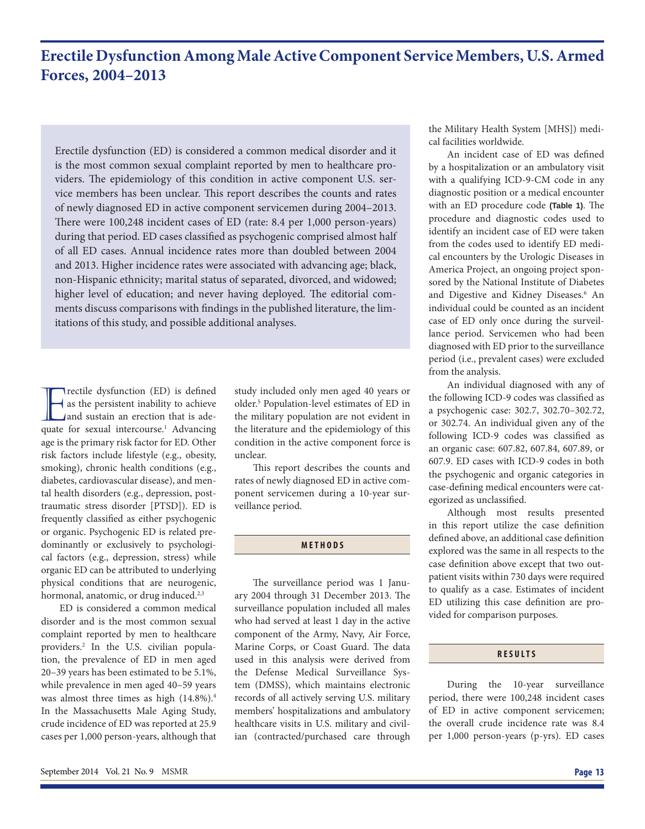### **Erectile Dysfunction Among Male Active Component Service Members, U.S. Armed Forces, 2004–2013**

Erectile dysfunction (ED) is considered a common medical disorder and it is the most common sexual complaint reported by men to healthcare providers. The epidemiology of this condition in active component U.S. service members has been unclear. This report describes the counts and rates of newly diagnosed ED in active component servicemen during 2004–2013. There were 100,248 incident cases of ED (rate: 8.4 per 1,000 person-years) during that period. ED cases classified as psychogenic comprised almost half of all ED cases. Annual incidence rates more than doubled between 2004 and 2013. Higher incidence rates were associated with advancing age; black, non-Hispanic ethnicity; marital status of separated, divorced, and widowed; higher level of education; and never having deployed. The editorial comments discuss comparisons with findings in the published literature, the limitations of this study, and possible additional analyses.

Trectile dysfunction (ED) is defined<br>as the persistent inability to achieve<br>and sustain an erection that is ade-<br>quate for sexual intercourse.<sup>1</sup> Advancing Trectile dysfunction (ED) is defined as the persistent inability to achieve and sustain an erection that is adeage is the primary risk factor for ED. Other risk factors include lifestyle (e.g., obesity, smoking), chronic health conditions (e.g., diabetes, cardiovascular disease), and mental health disorders (e.g., depression, posttraumatic stress disorder [PTSD]). ED is frequently classified as either psychogenic or organic. Psychogenic ED is related predominantly or exclusively to psychological factors (e.g., depression, stress) while organic ED can be attributed to underlying physical conditions that are neurogenic, hormonal, anatomic, or drug induced.<sup>2,3</sup>

ED is considered a common medical disorder and is the most common sexual complaint reported by men to healthcare providers.2 In the U.S. civilian population, the prevalence of ED in men aged 20–39 years has been estimated to be 5.1%, while prevalence in men aged 40–59 years was almost three times as high (14.8%).4 In the Massachusetts Male Aging Study, crude incidence of ED was reported at 25.9 cases per 1,000 person-years, although that study included only men aged 40 years or older.5 Population-level estimates of ED in the military population are not evident in the literature and the epidemiology of this condition in the active component force is unclear.

This report describes the counts and rates of newly diagnosed ED in active component servicemen during a 10-year surveillance period.

### **METHODS**

The surveillance period was 1 January 2004 through 31 December 2013. The surveillance population included all males who had served at least 1 day in the active component of the Army, Navy, Air Force, Marine Corps, or Coast Guard. The data used in this analysis were derived from the Defense Medical Surveillance System (DMSS), which maintains electronic records of all actively serving U.S. military members' hospitalizations and ambulatory healthcare visits in U.S. military and civilian (contracted/purchased care through

the Military Health System [MHS]) medical facilities worldwide.

An incident case of ED was defined by a hospitalization or an ambulatory visit with a qualifying ICD-9-CM code in any diagnostic position or a medical encounter with an ED procedure code (Table 1). The procedure and diagnostic codes used to identify an incident case of ED were taken from the codes used to identify ED medical encounters by the Urologic Diseases in America Project, an ongoing project sponsored by the National Institute of Diabetes and Digestive and Kidney Diseases.<sup>6</sup> An individual could be counted as an incident case of ED only once during the surveillance period. Servicemen who had been diagnosed with ED prior to the surveillance period (i.e., prevalent cases) were excluded from the analysis.

An individual diagnosed with any of the following ICD-9 codes was classified as a psychogenic case: 302.7, 302.70–302.72, or 302.74. An individual given any of the following ICD-9 codes was classified as an organic case: 607.82, 607.84, 607.89, or 607.9. ED cases with ICD-9 codes in both the psychogenic and organic categories in case-defining medical encounters were categorized as unclassified.

Although most results presented in this report utilize the case definition defined above, an additional case definition explored was the same in all respects to the case definition above except that two outpatient visits within 730 days were required to qualify as a case. Estimates of incident ED utilizing this case definition are provided for comparison purposes.

#### **RESULTS**

During the 10-year surveillance period, there were 100,248 incident cases of ED in active component servicemen; the overall crude incidence rate was 8.4 per 1,000 person-years (p-yrs). ED cases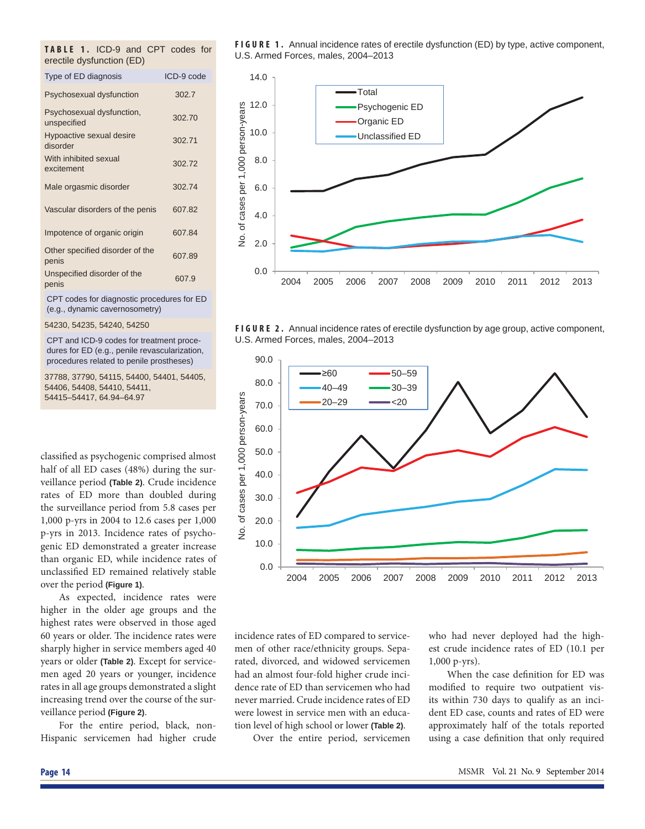| <b>TABLE 1. ICD-9 and CPT codes for</b> |  |  |  |
|-----------------------------------------|--|--|--|
| erectile dysfunction (ED)               |  |  |  |

| Type of ED diagnosis                       | ICD-9 code |
|--------------------------------------------|------------|
| Psychosexual dysfunction                   | 302.7      |
| Psychosexual dysfunction,<br>unspecified   | 302.70     |
| Hypoactive sexual desire<br>disorder       | 302.71     |
| With inhibited sexual<br>excitement        | 302.72     |
| Male orgasmic disorder                     | 302.74     |
| Vascular disorders of the penis            | 607.82     |
| Impotence of organic origin                | 607.84     |
| Other specified disorder of the<br>penis   | 607.89     |
| Unspecified disorder of the<br>penis       | 607.9      |
| CPT codes for diagnostic procedures for ED |            |

CPT codes for diagnostic procedures for ED (e.g., dynamic cavernosometry)

54230, 54235, 54240, 54250

CPT and ICD-9 codes for treatment procedures for ED (e.g., penile revascularization, procedures related to penile prostheses)

37788, 37790, 54115, 54400, 54401, 54405, 54406, 54408, 54410, 54411, 54415–54417, 64.94–64.97

classified as psychogenic comprised almost half of all ED cases (48%) during the surveillance period **(Table 2)**. Crude incidence rates of ED more than doubled during the surveillance period from 5.8 cases per 1,000 p-yrs in 2004 to 12.6 cases per 1,000 p-yrs in 2013. Incidence rates of psychogenic ED demonstrated a greater increase than organic ED, while incidence rates of unclassified ED remained relatively stable over the period **(Figure 1)**.

As expected, incidence rates were higher in the older age groups and the highest rates were observed in those aged 60 years or older. The incidence rates were sharply higher in service members aged 40 years or older **(Table 2)**. Except for servicemen aged 20 years or younger, incidence rates in all age groups demonstrated a slight increasing trend over the course of the surveillance period **(Figure 2)**.

For the entire period, black, non-Hispanic servicemen had higher crude

**FIGURE 1.** Annual incidence rates of erectile dysfunction (ED) by type, active component, U.S. Armed Forces, males, 2004–2013







incidence rates of ED compared to servicemen of other race/ethnicity groups. Separated, divorced, and widowed servicemen had an almost four-fold higher crude incidence rate of ED than servicemen who had never married. Crude incidence rates of ED were lowest in service men with an education level of high school or lower **(Table 2)**.

Over the entire period, servicemen

who had never deployed had the highest crude incidence rates of ED (10.1 per 1,000 p-yrs).

When the case definition for ED was modified to require two outpatient visits within 730 days to qualify as an incident ED case, counts and rates of ED were approximately half of the totals reported using a case definition that only required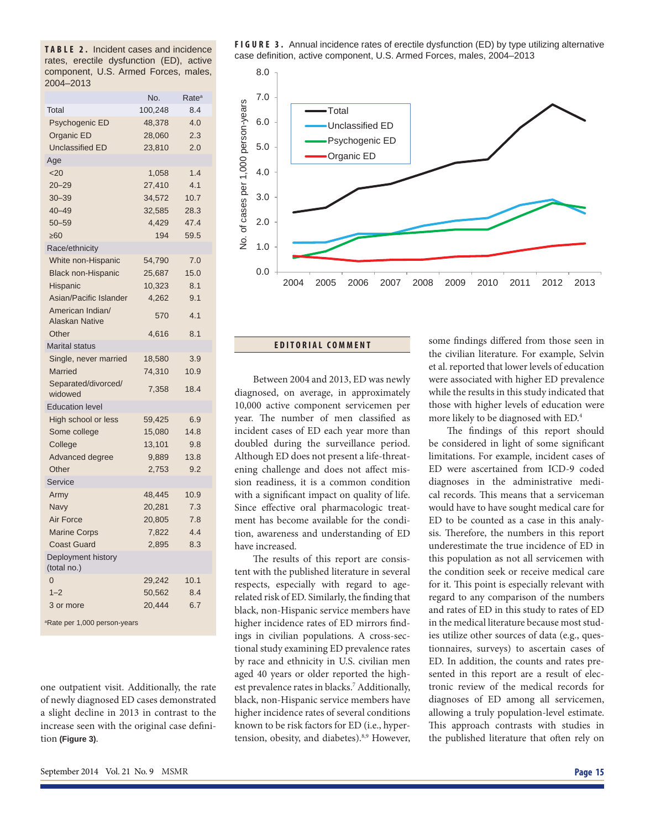**TABLE 2.** Incident cases and incidence rates, erectile dysfunction (ED), active component, U.S. Armed Forces, males, 2004–2013

|                                           | No.     | Rate <sup>a</sup> |
|-------------------------------------------|---------|-------------------|
| Total                                     | 100,248 | 8.4               |
| Psychogenic ED                            | 48,378  | 4.0               |
| Organic ED                                | 28,060  | 2.3               |
| <b>Unclassified ED</b>                    | 23,810  | 2.0               |
| Age                                       |         |                   |
| $20$                                      | 1,058   | 1.4               |
| $20 - 29$                                 | 27,410  | 4.1               |
| $30 - 39$                                 | 34,572  | 10.7              |
| $40 - 49$                                 | 32,585  | 28.3              |
| $50 - 59$                                 | 4.429   | 47.4              |
| >60                                       | 194     | 59.5              |
| Race/ethnicity                            |         |                   |
| White non-Hispanic                        | 54,790  | 7.0               |
| <b>Black non-Hispanic</b>                 | 25,687  | 15.0              |
| Hispanic                                  | 10,323  | 8.1               |
| Asian/Pacific Islander                    | 4,262   | 9.1               |
| American Indian/<br><b>Alaskan Native</b> | 570     | 4.1               |
| Other                                     | 4,616   | 8.1               |
| <b>Marital status</b>                     |         |                   |
| Single, never married                     | 18,580  | 3.9               |
| Married                                   | 74,310  | 10.9              |
| Separated/divorced/<br>widowed            | 7,358   | 18.4              |
| <b>Education level</b>                    |         |                   |
| High school or less                       | 59,425  | 6.9               |
| Some college                              | 15,080  | 14.8              |
| College                                   | 13,101  | 9.8               |
| Advanced degree                           | 9,889   | 13.8              |
| Other                                     | 2,753   | 9.2               |
| <b>Service</b>                            |         |                   |
| Army                                      | 48,445  | 10.9              |
| <b>Navy</b>                               | 20,281  | 7.3               |
| Air Force                                 | 20,805  | 7.8               |
| <b>Marine Corps</b>                       | 7,822   | 4.4               |
| <b>Coast Guard</b>                        | 2,895   | 8.3               |
| Deployment history<br>(total no.)         |         |                   |
| $\overline{0}$                            | 29,242  | 10.1              |
| $1 - 2$                                   | 50,562  | 8.4               |
| 3 or more                                 | 20,444  | 6.7               |
|                                           |         |                   |

a Rate per 1,000 person-years

one outpatient visit. Additionally, the rate of newly diagnosed ED cases demonstrated a slight decline in 2013 in contrast to the increase seen with the original case definition **(Figure 3)**.

**FIGURE 3.** Annual incidence rates of erectile dysfunction (ED) by type utilizing alternative case definition, active component, U.S. Armed Forces, males, 2004-2013



### **EDITORIAL COMMENT**

Between 2004 and 2013, ED was newly diagnosed, on average, in approximately 10,000 active component servicemen per year. The number of men classified as incident cases of ED each year more than doubled during the surveillance period. Although ED does not present a life-threatening challenge and does not affect mission readiness, it is a common condition with a significant impact on quality of life. Since effective oral pharmacologic treatment has become available for the condition, awareness and understanding of ED have increased.

The results of this report are consistent with the published literature in several respects, especially with regard to agerelated risk of ED. Similarly, the finding that black, non-Hispanic service members have higher incidence rates of ED mirrors findings in civilian populations. A cross-sectional study examining ED prevalence rates by race and ethnicity in U.S. civilian men aged 40 years or older reported the highest prevalence rates in blacks.<sup>7</sup> Additionally, black, non-Hispanic service members have higher incidence rates of several conditions known to be risk factors for ED (i.e., hypertension, obesity, and diabetes).<sup>8,9</sup> However,

some findings differed from those seen in the civilian literature. For example, Selvin et al. reported that lower levels of education were associated with higher ED prevalence while the results in this study indicated that those with higher levels of education were more likely to be diagnosed with ED.4

The findings of this report should be considered in light of some significant limitations. For example, incident cases of ED were ascertained from ICD-9 coded diagnoses in the administrative medical records. This means that a serviceman would have to have sought medical care for ED to be counted as a case in this analysis. Therefore, the numbers in this report underestimate the true incidence of ED in this population as not all servicemen with the condition seek or receive medical care for it. This point is especially relevant with regard to any comparison of the numbers and rates of ED in this study to rates of ED in the medical literature because most studies utilize other sources of data (e.g., questionnaires, surveys) to ascertain cases of ED. In addition, the counts and rates presented in this report are a result of electronic review of the medical records for diagnoses of ED among all servicemen, allowing a truly population-level estimate. This approach contrasts with studies in the published literature that often rely on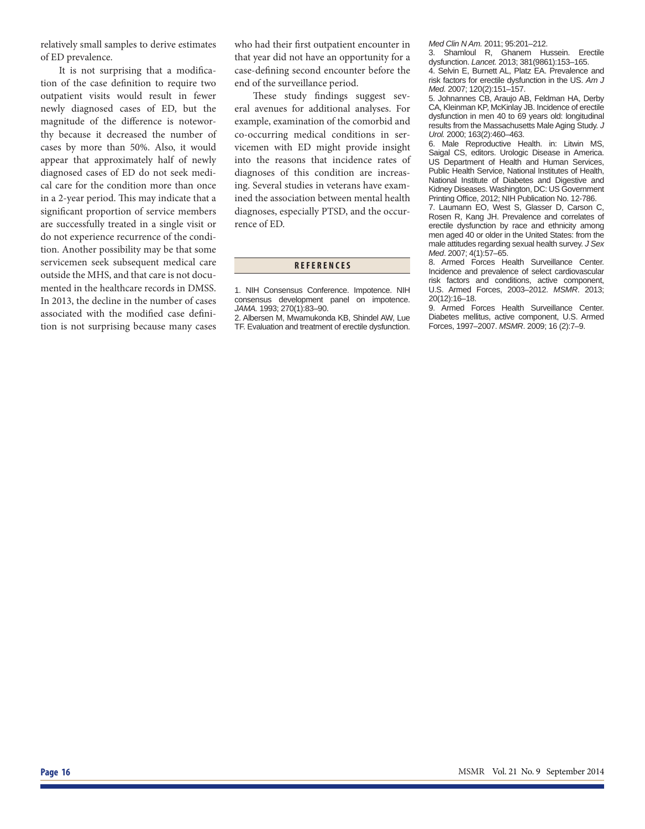relatively small samples to derive estimates of ED prevalence.

It is not surprising that a modification of the case definition to require two outpatient visits would result in fewer newly diagnosed cases of ED, but the magnitude of the difference is noteworthy because it decreased the number of cases by more than 50%. Also, it would appear that approximately half of newly diagnosed cases of ED do not seek medical care for the condition more than once in a 2-year period. This may indicate that a significant proportion of service members are successfully treated in a single visit or do not experience recurrence of the condition. Another possibility may be that some servicemen seek subsequent medical care outside the MHS, and that care is not documented in the healthcare records in DMSS. In 2013, the decline in the number of cases associated with the modified case definition is not surprising because many cases who had their first outpatient encounter in that year did not have an opportunity for a case-defining second encounter before the end of the surveillance period.

These study findings suggest several avenues for additional analyses. For example, examination of the comorbid and co-occurring medical conditions in servicemen with ED might provide insight into the reasons that incidence rates of diagnoses of this condition are increasing. Several studies in veterans have examined the association between mental health diagnoses, especially PTSD, and the occurrence of ED.

#### **REFERENCES**

2. Albersen M, Mwamukonda KB, Shindel AW, Lue TF. Evaluation and treatment of erectile dysfunction. *Med Clin N Am.* 2011; 95:201–212.

3. Shamloul R, Ghanem Hussein. Erectile dysfunction. *Lancet.* 2013; 381(9861):153–165.

4. Selvin E, Burnett AL, Platz EA. Prevalence and risk factors for erectile dysfunction in the US. *Am J Med.* 2007; 120(2):151–157.

5. Johnannes CB, Araujo AB, Feldman HA, Derby CA, Kleinman KP, McKinlay JB. Incidence of erectile dysfunction in men 40 to 69 years old: longitudinal results from the Massachusetts Male Aging Study. *J Urol.* 2000; 163(2):460–463.

6. Male Reproductive Health. in: Litwin MS, Saigal CS, editors. Urologic Disease in America. US Department of Health and Human Services, Public Health Service, National Institutes of Health, National Institute of Diabetes and Digestive and Kidney Diseases. Washington, DC: US Government Printing Office, 2012; NIH Publication No. 12-786.

7. Laumann EO, West S, Glasser D, Carson C, Rosen R, Kang JH. Prevalence and correlates of erectile dysfunction by race and ethnicity among men aged 40 or older in the United States: from the male attitudes regarding sexual health survey. *J Sex Med*. 2007; 4(1):57–65.

8. Armed Forces Health Surveillance Center. Incidence and prevalence of select cardiovascular risk factors and conditions, active component, U.S. Armed Forces, 2003–2012. *MSMR*. 2013; 20(12):16–18.

9. Armed Forces Health Surveillance Center. Diabetes mellitus, active component, U.S. Armed Forces, 1997–2007. *MSMR*. 2009; 16 (2):7–9.

<sup>1.</sup> NIH Consensus Conference. Impotence. NIH consensus development panel on impotence. *JAMA.* 1993; 270(1):83–90.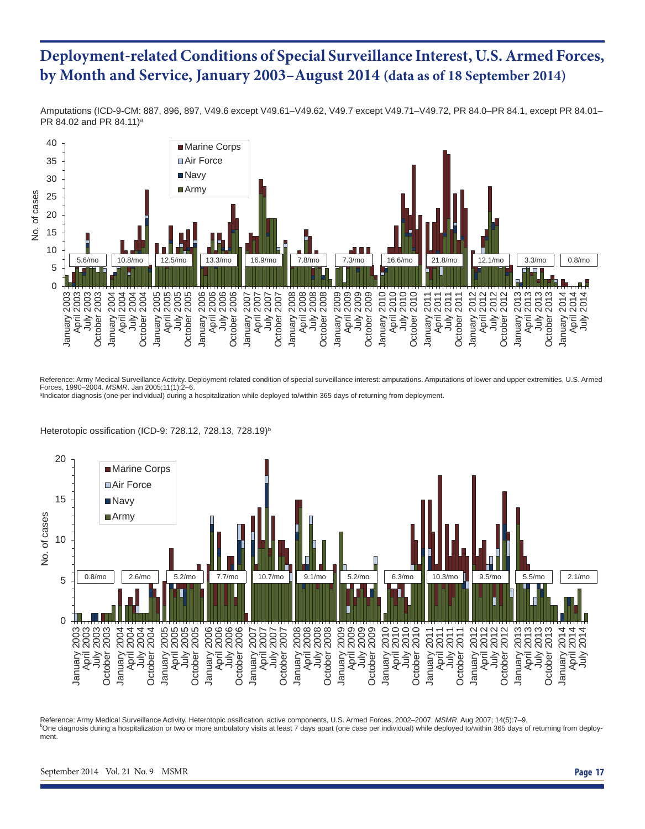## **Deployment**-**related Conditions of Special Surveillance Interest, U.S. Armed Forces, by Month and Service, January 2003–August 2014 (data as of 18 September 2014)**

Amputations (ICD-9-CM: 887, 896, 897, V49.6 except V49.61–V49.62, V49.7 except V49.71–V49.72, PR 84.0–PR 84.1, except PR 84.01– PR 84.02 and PR 84.11)<sup>a</sup>



Reference: Army Medical Surveillance Activity. Deployment-related condition of special surveillance interest: amputations. Amputations of lower and upper extremities, U.S. Armed Forces, 1990–2004. *MSMR*. Jan 2005;11(1):2–6.

a Indicator diagnosis (one per individual) during a hospitalization while deployed to/within 365 days of returning from deployment.

Heterotopic ossification (ICD-9: 728.12, 728.13, 728.19)<sup>b</sup>



Reference: Army Medical Surveillance Activity. Heterotopic ossification, active components, U.S. Armed Forces, 2002-2007. MSMR. Aug 2007; 14(5):7-9. One diagnosis during a hospitalization or two or more ambulatory visits at least 7 days apart (one case per individual) while deployed to/within 365 days of returning from deployment.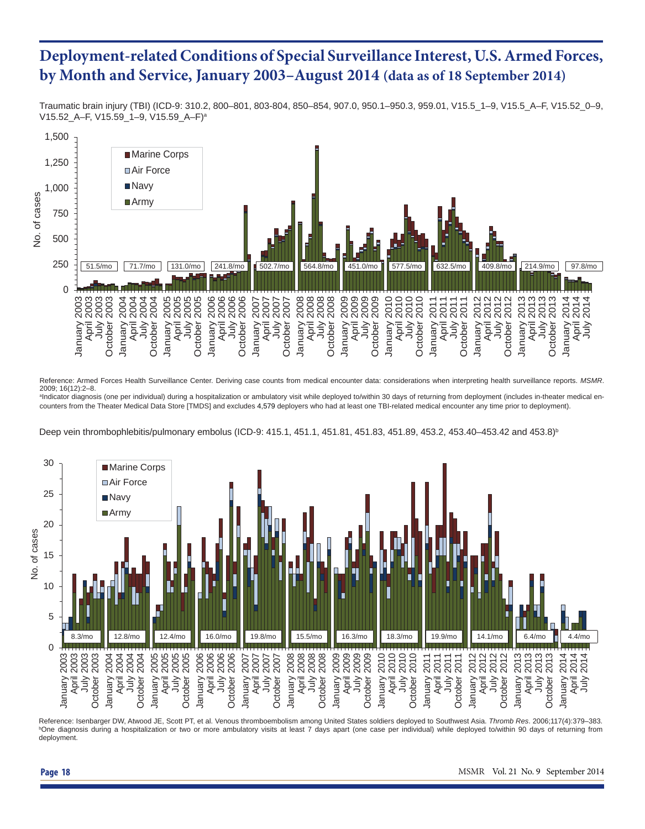# **Deployment-related Conditions of Special Surveillance Interest, U.S. Armed Forces, by Month and Service, January 2003–August 2014 (data as of 18 September 2014)**

Traumatic brain injury (TBI) (ICD-9: 310.2, 800–801, 803-804, 850–854, 907.0, 950.1–950.3, 959.01, V15.5\_1–9, V15.5\_A–F, V15.52\_0–9, V15.52\_A–F, V15.59\_1–9, V15.59\_A–F)a



Reference: Armed Forces Health Surveillance Center. Deriving case counts from medical encounter data: considerations when interpreting health surveillance reports. *MSMR*. 2009; 16(12):2–8.

a Indicator diagnosis (one per individual) during a hospitalization or ambulatory visit while deployed to/within 30 days of returning from deployment (includes in-theater medical encounters from the Theater Medical Data Store [TMDS] and excludes 4,579 deployers who had at least one TBI-related medical encounter any time prior to deployment).

Deep vein thrombophlebitis/pulmonary embolus (ICD-9: 415.1, 451.1, 451.81, 451.83, 451.89, 453.2, 453.40–453.42 and 453.8)<sup>b</sup>



Reference: Isenbarger DW, Atwood JE, Scott PT, et al. Venous thromboembolism among United States soldiers deployed to Southwest Asia. *Thromb Res*. 2006;117(4):379–383. b One diagnosis during a hospitalization or two or more ambulatory visits at least 7 days apart (one case per individual) while deployed to/within 90 days of returning from deployment.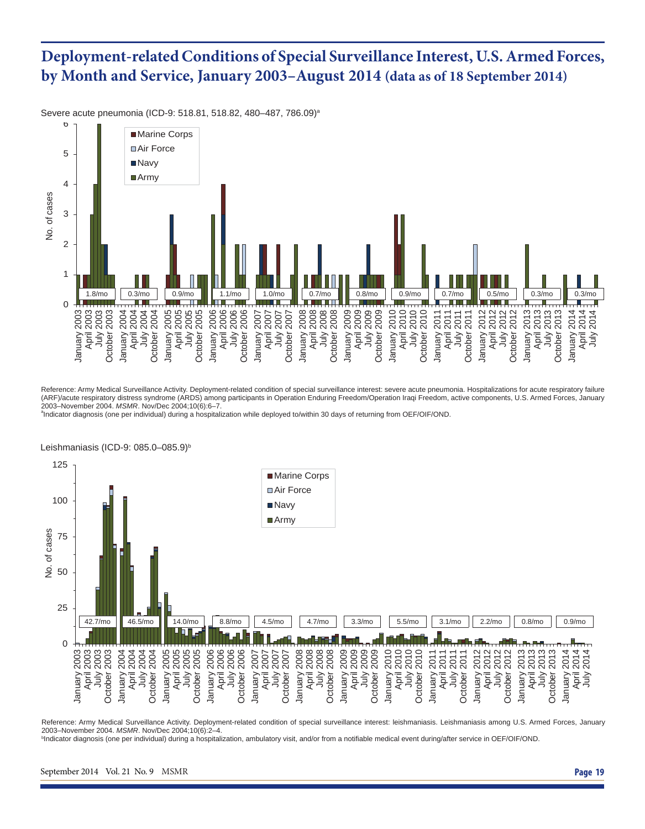# **Deployment-related Conditions of Special Surveillance Interest, U.S. Armed Forces, by Month and Service, January 2003–August 2014 (data as of 18 September 2014)**

Severe acute pneumonia (ICD-9: 518.81, 518.82, 480-487, 786.09)<sup>a</sup>



Reference: Army Medical Surveillance Activity. Deployment-related condition of special surveillance interest: severe acute pneumonia. Hospitalizations for acute respiratory failure (ARF)/acute respiratory distress syndrome (ARDS) among participants in Operation Enduring Freedom/Operation Iraqi Freedom, active components, U.S. Armed Forces, January 2003–November 2004. *MSMR*. Nov/Dec 2004;10(6):6–7. <sup>a</sup>

Indicator diagnosis (one per individual) during a hospitalization while deployed to/within 30 days of returning from OEF/OIF/OND.



Leishmaniasis (ICD-9: 085.0-085.9)<sup>b</sup>

Reference: Army Medical Surveillance Activity. Deployment-related condition of special surveillance interest: leishmaniasis. Leishmaniasis among U.S. Armed Forces, January 2003–November 2004. *MSMR*. Nov/Dec 2004;10(6):2–4.

<sup>b</sup>Indicator diagnosis (one per individual) during a hospitalization, ambulatory visit, and/or from a notifiable medical event during/after service in OEF/OIF/OND.